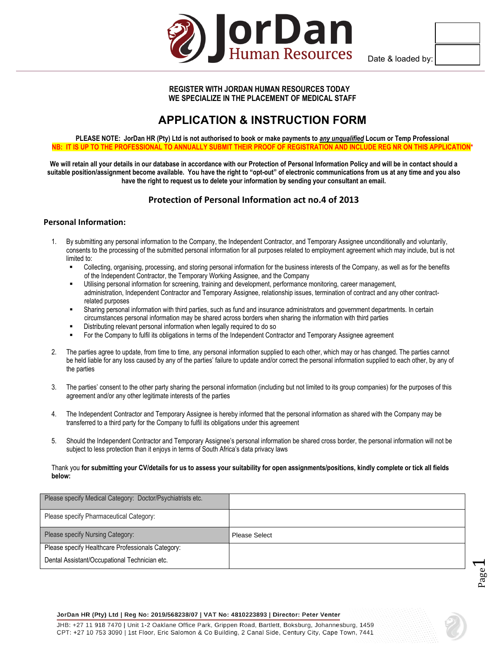

Date & loaded by:

Page  $\overline{\phantom{0}}$ 

## **REGISTER WITH JORDAN HUMAN RESOURCES TODAY WE SPECIALIZE IN THE PLACEMENT OF MEDICAL STAFF**

# **APPLICATION & INSTRUCTION FORM**

**PLEASE NOTE: JorDan HR (Pty) Ltd is not authorised to book or make payments to** *any unqualified* **Locum or Temp Professional NB: IT IS UP TO THE PROFESSIONAL TO ANNUALLY SUBMIT THEIR PROOF OF REGISTRATION AND INCLUDE REG NR ON THIS APPLICATION\*** 

**We will retain all your details in our database in accordance with our Protection of Personal Information Policy and will be in contact should a suitable position/assignment become available. You have the right to "opt-out" of electronic communications from us at any time and you also have the right to request us to delete your information by sending your consultant an email.**

# **Protection of Personal Information act no.4 of 2013**

### **Personal Information:**

- 1. By submitting any personal information to the Company, the Independent Contractor, and Temporary Assignee unconditionally and voluntarily, consents to the processing of the submitted personal information for all purposes related to employment agreement which may include, but is not limited to:
	- Collecting, organising, processing, and storing personal information for the business interests of the Company, as well as for the benefits of the Independent Contractor, the Temporary Working Assignee, and the Company
	- Utilising personal information for screening, training and development, performance monitoring, career management, administration, Independent Contractor and Temporary Assignee, relationship issues, termination of contract and any other contractrelated purposes
	- Sharing personal information with third parties, such as fund and insurance administrators and government departments. In certain circumstances personal information may be shared across borders when sharing the information with third parties
	- Distributing relevant personal information when legally required to do so
	- For the Company to fulfil its obligations in terms of the Independent Contractor and Temporary Assignee agreement
- 2. The parties agree to update, from time to time, any personal information supplied to each other, which may or has changed. The parties cannot be held liable for any loss caused by any of the parties' failure to update and/or correct the personal information supplied to each other, by any of the parties
- 3. The parties' consent to the other party sharing the personal information (including but not limited to its group companies) for the purposes of this agreement and/or any other legitimate interests of the parties
- 4. The Independent Contractor and Temporary Assignee is hereby informed that the personal information as shared with the Company may be transferred to a third party for the Company to fulfil its obligations under this agreement
- 5. Should the Independent Contractor and Temporary Assignee's personal information be shared cross border, the personal information will not be subject to less protection than it enjoys in terms of South Africa's data privacy laws

#### Thank you **for submitting your CV/details for us to assess your suitability for open assignments/positions, kindly complete or tick all fields below:**

| Please specify Medical Category: Doctor/Psychiatrists etc. |               |
|------------------------------------------------------------|---------------|
| Please specify Pharmaceutical Category:                    |               |
| Please specify Nursing Category:                           | Please Select |
| Please specify Healthcare Professionals Category:          |               |
| Dental Assistant/Occupational Technician etc.              |               |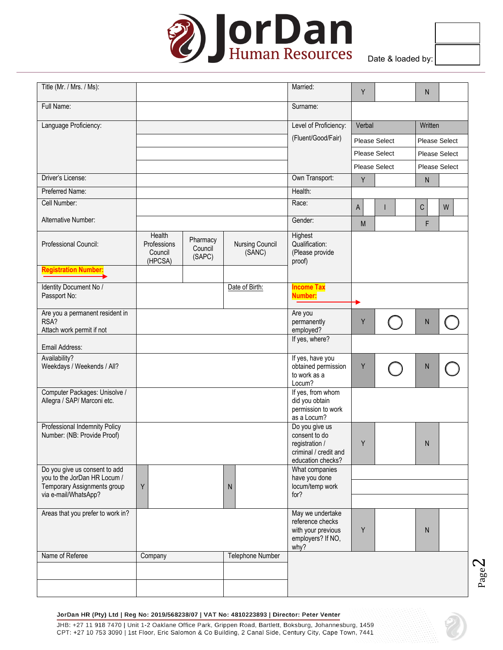

|  | ite & loaded by: I |  |
|--|--------------------|--|

Page

| Title (Mr. / Mrs. / Ms):                                      |                                   |                               |                                  | Married:                                                                                        | Y      |                      | N       |                      |
|---------------------------------------------------------------|-----------------------------------|-------------------------------|----------------------------------|-------------------------------------------------------------------------------------------------|--------|----------------------|---------|----------------------|
| Full Name:                                                    |                                   |                               |                                  | Surname:                                                                                        |        |                      |         |                      |
| Language Proficiency:                                         |                                   |                               |                                  | Level of Proficiency:                                                                           | Verbal |                      | Written |                      |
|                                                               |                                   |                               |                                  | (Fluent/Good/Fair)                                                                              |        | <b>Please Select</b> |         | <b>Please Select</b> |
|                                                               |                                   |                               |                                  |                                                                                                 |        | <b>Please Select</b> |         | <b>Please Select</b> |
|                                                               |                                   |                               |                                  |                                                                                                 |        | <b>Please Select</b> |         | <b>Please Select</b> |
| Driver's License:                                             |                                   |                               |                                  | Own Transport:                                                                                  | Y      |                      | N       |                      |
| Preferred Name:                                               |                                   |                               |                                  | Health:                                                                                         |        |                      |         |                      |
| Cell Number:                                                  |                                   |                               |                                  | Race:                                                                                           | A      |                      | С       | W                    |
| Alternative Number:                                           |                                   |                               |                                  | Gender:                                                                                         | M      |                      | F       |                      |
|                                                               | Health                            |                               |                                  | Highest                                                                                         |        |                      |         |                      |
| Professional Council:                                         | Professions<br>Council<br>(HPCSA) | Pharmacy<br>Council<br>(SAPC) | <b>Nursing Council</b><br>(SANC) | Qualification:<br>(Please provide<br>proof)                                                     |        |                      |         |                      |
| <b>Registration Number:</b>                                   |                                   |                               |                                  |                                                                                                 |        |                      |         |                      |
| Identity Document No /<br>Passport No:                        |                                   |                               | Date of Birth:                   | <b>Income Tax</b><br><b>Number:</b>                                                             |        |                      |         |                      |
| Are you a permanent resident in                               |                                   |                               |                                  | Are you                                                                                         |        |                      |         |                      |
| RSA?<br>Attach work permit if not                             |                                   |                               |                                  | permanently<br>employed?                                                                        | Υ      |                      | N       |                      |
|                                                               |                                   |                               |                                  | If yes, where?                                                                                  |        |                      |         |                      |
| Email Address:<br>Availability?                               |                                   |                               |                                  | If yes, have you                                                                                |        |                      |         |                      |
| Weekdays / Weekends / All?                                    |                                   |                               |                                  | obtained permission<br>to work as a<br>Locum?                                                   | Υ      |                      | N       |                      |
| Computer Packages: Unisolve /<br>Allegra / SAP/ Marconi etc.  |                                   |                               |                                  | If yes, from whom<br>did you obtain<br>permission to work<br>as a Locum?                        |        |                      |         |                      |
| Professional Indemnity Policy<br>Number: (NB: Provide Proof)  |                                   |                               |                                  | Do you give us<br>consent to do<br>registration /<br>criminal / credit and<br>education checks? | Y      |                      | N       |                      |
| Do you give us consent to add<br>you to the JorDan HR Locum / |                                   |                               |                                  | What companies<br>have you done                                                                 |        |                      |         |                      |
| Temporary Assignments group                                   | Υ                                 |                               | N                                | locum/temp work                                                                                 |        |                      |         |                      |
| via e-mail/WhatsApp?                                          |                                   |                               |                                  | for?                                                                                            |        |                      |         |                      |
| Areas that you prefer to work in?                             |                                   |                               |                                  | May we undertake<br>reference checks<br>with your previous<br>employers? If NO,<br>why?         | Y      |                      | N       |                      |
| Name of Referee                                               | Company                           |                               | Telephone Number                 |                                                                                                 |        |                      |         |                      |
|                                                               |                                   |                               |                                  |                                                                                                 |        |                      |         |                      |
|                                                               |                                   |                               |                                  |                                                                                                 |        |                      |         |                      |
|                                                               |                                   |                               |                                  |                                                                                                 |        |                      |         |                      |

#### JorDan HR (Pty) Ltd | Reg No: 2019/568238/07 | VAT No: 4810223893 | Director: Peter Venter

JHB: +27 11 918 7470 | Unit 1-2 Oaklane Office Park, Grippen Road, Bartlett, Boksburg, Johannesburg, 1459 CPT: +27 10 753 3090 | 1st Floor, Eric Salomon & Co Building, 2 Canal Side, Century City, Cape Town, 7441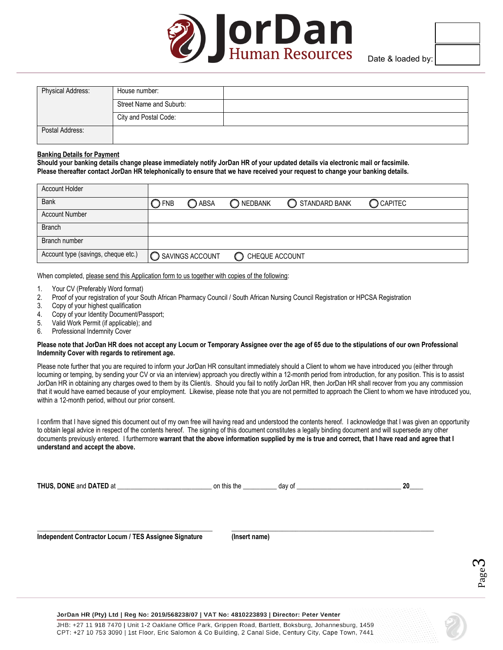

| <b>Physical Address:</b> | House number:           |  |
|--------------------------|-------------------------|--|
|                          | Street Name and Suburb: |  |
|                          | City and Postal Code:   |  |
| Postal Address:          |                         |  |

#### **Banking Details for Payment**

**Should your banking details change please immediately notify JorDan HR of your updated details via electronic mail or facsimile. Please thereafter contact JorDan HR telephonically to ensure that we have received your request to change your banking details.**

| <b>Account Holder</b>               |                |                          |                  |               |           |
|-------------------------------------|----------------|--------------------------|------------------|---------------|-----------|
| <b>Bank</b>                         | $\bigcirc$ FNB | ◯ ABSA                   | O NEDBANK        | STANDARD BANK | C CAPITEC |
| <b>Account Number</b>               |                |                          |                  |               |           |
| <b>Branch</b>                       |                |                          |                  |               |           |
| Branch number                       |                |                          |                  |               |           |
| Account type (savings, cheque etc.) |                | <b>O SAVINGS ACCOUNT</b> | C CHEQUE ACCOUNT |               |           |

When completed, please send this Application form to us together with copies of the following:

- 1. Your CV (Preferably Word format)<br>2. Proof of your registration of your S
- 2. Proof of your registration of your South African Pharmacy Council / South African Nursing Council Registration or HPCSA Registration<br>3. Copy of your highest qualification
- Copy of your highest qualification
- 4. Copy of your Identity Document/Passport;
- 5. Valid Work Permit (if applicable); and

6. Professional Indemnity Cover

#### **Please note that JorDan HR does not accept any Locum or Temporary Assignee over the age of 65 due to the stipulations of our own Professional Indemnity Cover with regards to retirement age.**

Please note further that you are required to inform your JorDan HR consultant immediately should a Client to whom we have introduced you (either through locuming or temping, by sending your CV or via an interview) approach you directly within a 12-month period from introduction, for any position. This is to assist JorDan HR in obtaining any charges owed to them by its Client/s. Should you fail to notify JorDan HR, then JorDan HR shall recover from you any commission that it would have earned because of your employment. Likewise, please note that you are not permitted to approach the Client to whom we have introduced you, within a 12-month period, without our prior consent.

I confirm that I have signed this document out of my own free will having read and understood the contents hereof. I acknowledge that I was given an opportunity to obtain legal advice in respect of the contents hereof. The signing of this document constitutes a legally binding document and will supersede any other documents previously entered. I furthermore **warrant that the above information supplied by me is true and correct, that I have read and agree that I understand and accept the above.**

**THUS, DONE** and **DATED** at \_\_\_\_\_\_\_\_\_\_\_\_\_\_\_\_\_\_\_\_\_\_\_\_\_\_\_\_ on this the \_\_\_\_\_\_\_\_\_\_ day of \_\_\_\_\_\_\_\_\_\_\_\_\_\_\_\_\_\_\_\_\_\_\_\_\_\_\_\_\_\_\_ **20\_\_\_\_**

**Independent Contractor Locum / TES Assignee Signature (Insert name)**

**\_\_\_\_\_\_\_\_\_\_\_\_\_\_\_\_\_\_\_\_\_\_\_\_\_\_\_\_\_\_\_\_\_\_\_\_\_\_\_\_\_\_\_\_\_\_\_\_\_\_\_\_ \_\_\_\_\_\_\_\_\_\_\_\_\_\_\_\_\_\_\_\_\_\_\_\_\_\_\_\_\_\_\_\_\_\_\_\_\_\_\_\_\_\_\_\_\_\_\_\_\_\_\_\_\_\_\_\_\_\_\_\_**



#### JorDan HR (Pty) Ltd | Reg No: 2019/568238/07 | VAT No: 4810223893 | Director: Peter Venter

JHB: +27 11 918 7470 | Unit 1-2 Oaklane Office Park, Grippen Road, Bartlett, Boksburg, Johannesburg, 1459 CPT: +27 10 753 3090 | 1st Floor, Eric Salomon & Co Building, 2 Canal Side, Century City, Cape Town, 7441